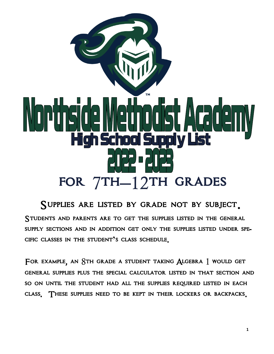

Supplies are listed by grade not by subject. Students and parents are to get the supplies listed in the general supply sections and in addition get only the supplies listed under specific classes in the student**'**s class schedule**.**

For example**,** an 8th grade a student taking Algebra 1 would get general supplies plus the special calculator listed in that section and so on until the student had all the supplies required listed in each class**.** These supplies need to be kept in their lockers or backpacks**.**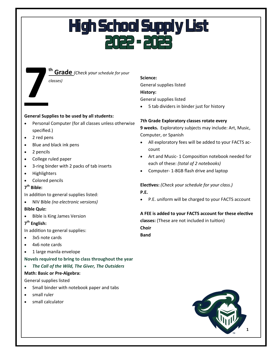**th Grade** *(Check your schedule for your* 

## **7** *classes)*

#### **General Supplies to be used by all students:**

- Personal Computer (for all classes unless otherwise specified.)
- 2 red pens
- Blue and black ink pens
- 2 pencils
- College ruled paper
- 3-ring binder with 2 packs of tab inserts
- Highlighters
- Colored pencils

#### **7 th Bible:**

In addition to general supplies listed:

• NIV Bible *(no electronic versions)*

#### **Bible Quiz:**

• Bible is King James Version

#### **7 th English:**

In addition to general supplies:

- 3x5 note cards
- 4x6 note cards
- 1 large manila envelope

#### **Novels required to bring to class throughout the year**

• *The Call of the Wild, The Giver, The Outsiders*

#### **Math: Basic or Pre-Algebra:**

General supplies listed

- Small binder with notebook paper and tabs
- small ruler
- small calculator

#### **Science:**

General supplies listed **History:** General supplies listed

• 5 tab dividers in binder just for history

#### **7th Grade Exploratory classes rotate every**

**9 weeks.** Exploratory subjects may include: Art, Music, Computer, or Spanish

- All exploratory fees will be added to your FACTS account
- Art and Music- 1 Composition notebook needed for each of these: *(total of 2 notebooks)*
- Computer- 1-8GB flash drive and laptop

#### **Electives:** *(Check your schedule for your class.)* **P.E.**

P.E. uniform will be charged to your FACTS account

#### **A FEE is added to your FACTS account for these elective**

**classes:** (These are not included in tuition)

**Choir**

**Band**

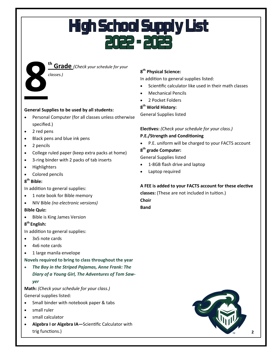

**th Grade** *(Check your schedule for your* 

#### **General Supplies to be used by all students:**

- Personal Computer (for all classes unless otherwise specified.)
- 2 red pens
- Black pens and blue ink pens
- 2 pencils
- College ruled paper (keep extra packs at home)
- 3-ring binder with 2 packs of tab inserts
- **Highlighters**
- Colored pencils

#### **8 th Bible:**

In addition to general supplies:

- 1 note book for Bible memory
- NIV Bible *(no electronic versions)*

#### **Bible Quiz:**

• Bible is King James Version

#### **8 th English:**

In addition to general supplies:

- 3x5 note cards
- 4x6 note cards
- 1 large manila envelope

**Novels required to bring to class throughout the year**

• *The Boy in the Striped Pajamas, Anne Frank: The Diary of a Young Girl, The Adventures of Tom Sawyer*

**Math:** *(Check your schedule for your class.)* General supplies listed:

- Small binder with notebook paper & tabs
- small ruler
- small calculator
- **Algebra I or Algebra IA—**Scientific Calculator with trig functions.)

#### **8 th Physical Science:**

In addition to general supplies listed:

- Scientific calculator like used in their math classes
- Mechanical Pencils
- 2 Pocket Folders

#### **8 th World History:**

General Supplies listed

#### **Electives:** *(Check your schedule for your class.)*

#### **P.E./Strength and Conditioning**

P.E. uniform will be charged to your FACTS account

#### **8 th grade Computer:**

General Supplies listed

- 1-8GB flash drive and laptop
- Laptop required

#### **A FEE is added to your FACTS account for these elective**

**classes:** (These are not included in tuition.) **Choir Band**

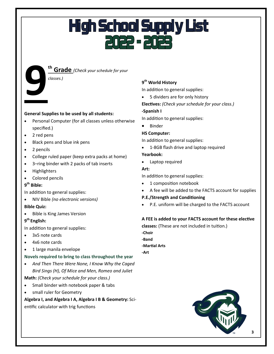#### **th Grade** *(Check your schedule for your*

#### *classes.)*

**9 General Supplies to be used by all students:**

- Personal Computer (for all classes unless otherwise specified.)
- 2 red pens
- Black pens and blue ink pens
- 2 pencils
- College ruled paper (keep extra packs at home)
- 3–ring binder with 2 packs of tab inserts
- Highlighters
- Colored pencils

#### **9 th Bible:**

In addition to general supplies:

• NIV Bible *(no electronic versions)*

#### **Bible Quiz:**

• Bible is King James Version

#### **9 th English:**

In addition to general supplies:

- 3x5 note cards
- 4x6 note cards
- 1 large manila envelope

#### **Novels required to bring to class throughout the year**

• *And Then There Were None, I Know Why the Caged Bird Sings (H), Of Mice and Men, Romeo and Juliet*

**Math:** *(Check your schedule for your class.)*

- Small binder with notebook paper & tabs
- small ruler for Geometry

**Algebra I, and Algebra I A, Algebra I B & Geometry:** Scientific calculator with trig functions

#### **9 th World History**

In addition to general supplies:

- 5 dividers are for only history
- **Electives:** *(Check your schedule for your class.)*

#### **-Spanish I**

In addition to general supplies:

• Binder

#### **HS Computer:**

In addition to general supplies:

• 1-8GB flash drive and laptop required

#### **Yearbook:**

• Laptop required

#### **Art:**

In addition to general supplies:

- 1 composition notebook
- A fee will be added to the FACTS account for supplies

#### **P.E./Strength and Conditioning**

• P.E. uniform will be charged to the FACTS account

#### **A FEE is added to your FACTS account for these elective**

**classes:** (These are not included in tuition.) **-Choir -Band -Martial Arts -Art**

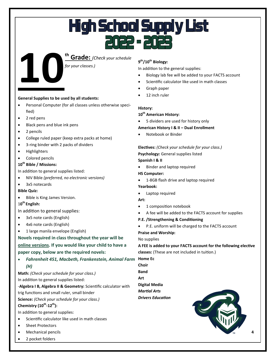

#### **General Supplies to be used by all students:**

- Personal Computer (for all classes unless otherwise specified)
- 2 red pens
- Black pens and blue ink pens
- 2 pencils
- College ruled paper (keep extra packs at home)
- 3-ring binder with 2 packs of dividers
- Highlighters
- Colored pencils

#### **10th Bible / Missions:**

In addition to general supplies listed:

- NIV Bible *(preferred, no electronic versions)*
- 3x5 notecards

#### **Bible Quiz:**

- Bible is King James Version.
- 1**0 th English:**

In addition to general supplies:

- 3x5 note cards (English)
- 4x6 note cards (English)
- 1 large manila envelope (English)

**Novels required in class throughout the year will be online versions. If you would like your child to have a paper copy, below are the required novels:**

• *Fahrenheit 451, Macbeth, Frankenstein, Animal Farm*  **Home Ec**

#### *(H)*

**Math:** *(Check your schedule for your class.)* In addition to general supplies listed:

-**Algebra I B, Algebra II & Geometry:** Scientific calculator with

trig functions and small ruler, small binder

**Science:** *(Check your schedule for your class.)*

#### **Chemistry (10th -12th):**

In addition to general supplies:

- Scientific calculator like used in math classes
- Sheet Protectors
- Mechanical pencils
- 2 pocket folders

#### **9 th/10th Biology:**

In addition to the general supplies:

- Biology lab fee will be added to your FACTS account
- Scientific calculator like used in math classes
- Graph paper
- 12 inch ruler

#### **History:**

#### **10th American History:**

• 5 dividers are used for history only

**American History I & II – Dual Enrollment**

• Notebook or Binder

**Electives:** *(Check your schedule for your class.)* **Psychology:** General supplies listed **Spanish I & II**

• Binder and laptop required

**HS Computer:**

• 1-8GB flash drive and laptop required

#### **Yearbook:**

• Laptop required

#### **Art:**

- 1 composition notebook
- A fee will be added to the FACTS account for supplies
- **P.E. /Strengthening & Conditioning**
- P.E. uniform will be charged to the FACTS account **Praise and Worship:**

No supplies

**A FEE is added to your FACTS account for the following elective** 

**classes:** (These are not included in tuition.)

- **Choir**
- **Band**

**Art**

**Digital Media**

*Martial Arts Drivers Education*

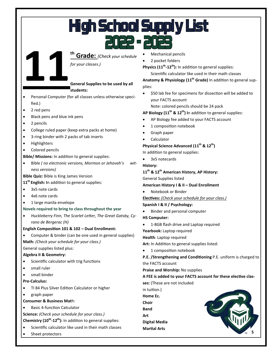# **High School Supply List**

**11th Grade:** *(Check your schedule* 

*for your classes.)*

#### **General Supplies to be used by all**

**students:**

- Personal Computer (for all classes unless otherwise specified.)
- 2 red pens
- Black pens and blue ink pens
- 2 pencils
- College ruled paper (keep extra packs at home)
- 3-ring binder with 2 packs of tab inserts
- Highlighters
- Colored pencils

**Bible/ Missions:** In addition to general supplies:

- Bible *( no electronic versions, Mormon or Jehovah's witness versions)*
- **Bible Quiz:** Bible is King James Version

#### **11th English: I**n addition to general supplies:

- 3x5 note cards
- 4x6 note cards
- 1 large manila envelope

#### **Novels required to bring to class throughout the year**

• *Huckleberry Finn, The Scarlet Letter, The Great Gatsby, Cyrano de Bergerac (H)*

#### **English Composition 101 & 102 – Dual Enrollment:**

• Computer & binder (can be one used in general supplies)

**Math:** *(Check your schedule for your class.)*

General supplies listed plus:

#### **Algebra II & Geometry:**

- Scientific calculator with trig functions
- small ruler
- small binder

#### **Pre-Calculus:**

- TI 84 Plus Silver Edition Calculator or higher
- graph paper
- **Consumer & Business Mat**h:
- Basic 4-function Calculator

**Science:** *(Check your schedule for your class.)*

**Chemistry (10th -12th):** In addition to general supplies:

- Scientific calculator like used in their math classes
- Sheet protectors
- Mechanical pencils
- 2 pocket folders

**Physics (11th -12th):** In addition to general supplies:

Scientific calculator like used in their math classes

**Anatomy & Physiology (11th Grade)** In addition to general supplies:

• \$50 lab fee for specimens for dissection will be added to your FACTS account

Note: colored pencils should be 24 pack

#### **AP Biology (11th & 12th) I**n addition to general supplies:

- AP Biology fee added to your FACTS account
- 1 composition notebook
- Graph paper
- Calculator

#### **Physical Science Advanced (11th & 12th)**

In addition to general supplies:

• 3x5 notecards

**History:**

#### **11th & 12th American History, AP History:**

General Supplies listed

#### **American History I & II – Dual Enrollment**

#### • Notebook or Binder

**Electives:** *(Check your schedule for your class.)*

#### **Spanish I & II / Psychology:**

- Binder and personal computer **HS Computer:**
- 1-8GB flash drive and Laptop required

**Yearbook:** Laptop required

#### **Health**: Laptop required

- **Art:** In Addition to general supplies listed:
- 1 composition notebook

**P.E. /Strengthening and Conditioning** P.E. uniform is charged to the FACTS account

**Praise and Worship:** No supplies

#### **A FEE is added to your FACTS account for these elective clas-**

**ses:** (These are not included

in tuition.) **Home Ec. Choir Band Art**

**Digital Media**

**Martial Arts**